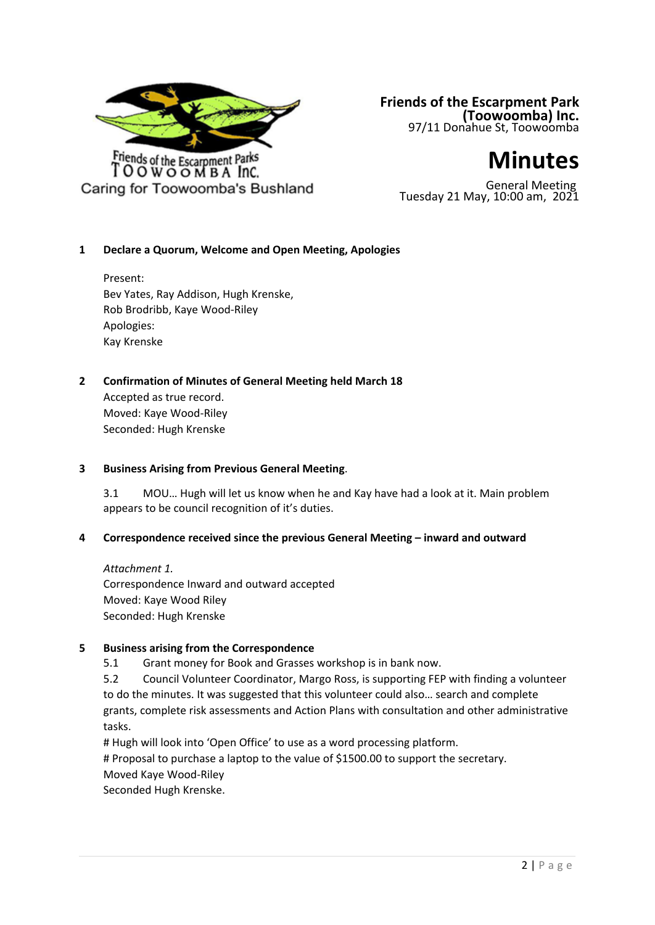

# **Friends of the Escarpment Park (Toowoomba) Inc.**<br>97/11 Donahue St, Toowoomba



General Meeting Tuesday 21 May, 10:00 am, 2021

## **1 Declare a Quorum, Welcome and Open Meeting, Apologies**

Present: Bev Yates, Ray Addison, Hugh Krenske, Rob Brodribb, Kaye Wood-Riley Apologies: Kay Krenske

## **2 Confirmation of Minutes of General Meeting held March 18**

Accepted as true record. Moved: Kaye Wood-Riley Seconded: Hugh Krenske

## **3 Business Arising from Previous General Meeting**.

3.1 MOU… Hugh will let us know when he and Kay have had a look at it. Main problem appears to be council recognition of it's duties.

## **4 Correspondence received since the previous General Meeting – inward and outward**

*Attachment 1.* Correspondence Inward and outward accepted Moved: Kaye Wood Riley Seconded: Hugh Krenske

## **5 Business arising from the Correspondence**

5.1 Grant money for Book and Grasses workshop is in bank now.

5.2 Council Volunteer Coordinator, Margo Ross, is supporting FEP with finding a volunteer to do the minutes. It was suggested that this volunteer could also… search and complete grants, complete risk assessments and Action Plans with consultation and other administrative tasks.

# Hugh will look into 'Open Office' to use as a word processing platform.

# Proposal to purchase a laptop to the value of \$1500.00 to support the secretary.

Moved Kaye Wood-Riley

Seconded Hugh Krenske.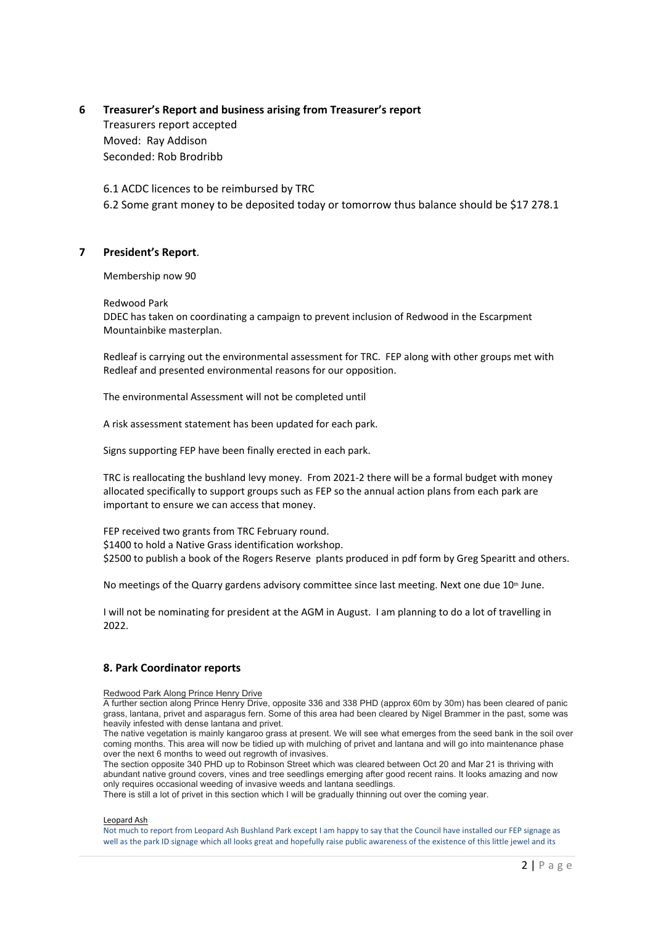## **6 Treasurer's Report and business arising from Treasurer's report** Treasurers report accepted Moved: Ray Addison Seconded: Rob Brodribb

6.1 ACDC licences to be reimbursed by TRC 6.2 Some grant money to be deposited today or tomorrow thus balance should be \$17 278.1

## **7 President's Report**.

Membership now 90

Redwood Park

DDEC has taken on coordinating a campaign to prevent inclusion of Redwood in the Escarpment Mountainbike masterplan.

Redleaf is carrying out the environmental assessment for TRC. FEP along with other groups met with Redleaf and presented environmental reasons for our opposition.

The environmental Assessment will not be completed until

A risk assessment statement has been updated for each park.

Signs supporting FEP have been finally erected in each park.

TRC is reallocating the bushland levy money. From 2021-2 there will be a formal budget with money allocated specifically to support groups such as FEP so the annual action plans from each park are important to ensure we can access that money.

FEP received two grants from TRC February round. \$1400 to hold a Native Grass identification workshop. \$2500 to publish a book of the Rogers Reserve plants produced in pdf form by Greg Spearitt and others.

No meetings of the Quarry gardens advisory committee since last meeting. Next one due 10<sup>th</sup> June.

I will not be nominating for president at the AGM in August. I am planning to do a lot of travelling in 2022.

#### **8. Park Coordinator reports**

Redwood Park Along Prince Henry Drive

A further section along Prince Henry Drive, opposite 336 and 338 PHD (approx 60m by 30m) has been cleared of panic grass, lantana, privet and asparagus fern. Some of this area had been cleared by Nigel Brammer in the past, some was heavily infested with dense lantana and privet.

The native vegetation is mainly kangaroo grass at present. We will see what emerges from the seed bank in the soil over coming months. This area will now be tidied up with mulching of privet and lantana and will go into maintenance phase over the next 6 months to weed out regrowth of invasives.

The section opposite 340 PHD up to Robinson Street which was cleared between Oct 20 and Mar 21 is thriving with abundant native ground covers, vines and tree seedlings emerging after good recent rains. It looks amazing and now only requires occasional weeding of invasive weeds and lantana seedlings.

There is still a lot of privet in this section which I will be gradually thinning out over the coming year.

#### Leopard Ash

Not much to report from Leopard Ash Bushland Park except I am happy to say that the Council have installed our FEP signage as well as the park ID signage which all looks great and hopefully raise public awareness of the existence of this little jewel and its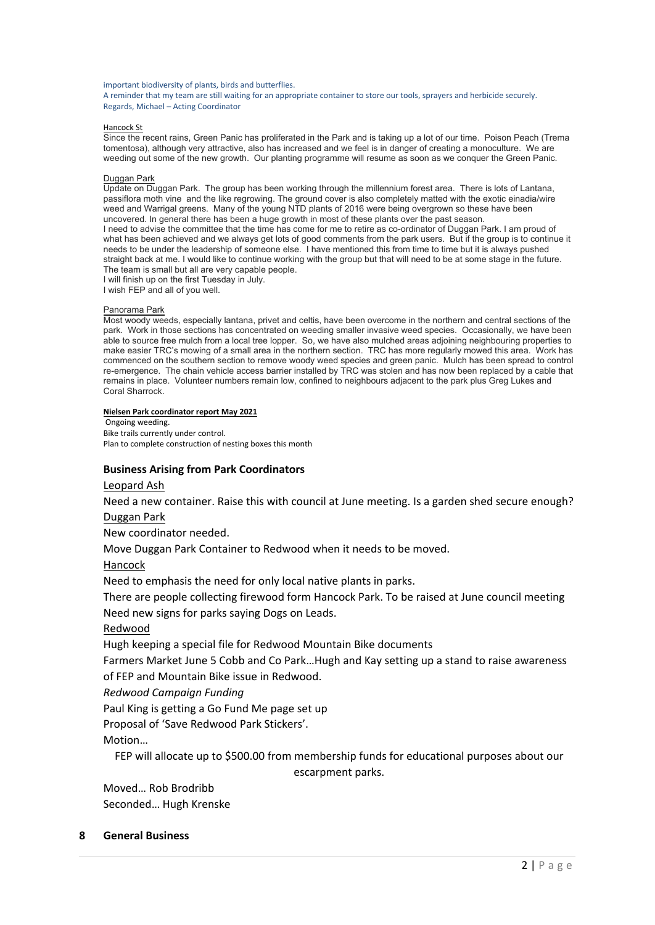important biodiversity of plants, birds and butterflies.

A reminder that my team are still waiting for an appropriate container to store our tools, sprayers and herbicide securely. Regards, Michael – Acting Coordinator

#### Hancock St

Since the recent rains, Green Panic has proliferated in the Park and is taking up a lot of our time. Poison Peach (Trema tomentosa), although very attractive, also has increased and we feel is in danger of creating a monoculture. We are weeding out some of the new growth. Our planting programme will resume as soon as we conquer the Green Panic.

#### Duggan Park

Update on Duggan Park. The group has been working through the millennium forest area. There is lots of Lantana, passiflora moth vine and the like regrowing. The ground cover is also completely matted with the exotic einadia/wire weed and Warrigal greens. Many of the young NTD plants of 2016 were being overgrown so these have been uncovered. In general there has been a huge growth in most of these plants over the past season. I need to advise the committee that the time has come for me to retire as co-ordinator of Duggan Park. I am proud of what has been achieved and we always get lots of good comments from the park users. But if the group is to continue it needs to be under the leadership of someone else. I have mentioned this from time to time but it is always pushed straight back at me. I would like to continue working with the group but that will need to be at some stage in the future. The team is small but all are very capable people. I will finish up on the first Tuesday in July.

I wish FEP and all of you well.

#### Panorama Park

Most woody weeds, especially lantana, privet and celtis, have been overcome in the northern and central sections of the park. Work in those sections has concentrated on weeding smaller invasive weed species. Occasionally, we have been able to source free mulch from a local tree lopper. So, we have also mulched areas adjoining neighbouring properties to make easier TRC's mowing of a small area in the northern section. TRC has more regularly mowed this area. Work has commenced on the southern section to remove woody weed species and green panic. Mulch has been spread to control re-emergence. The chain vehicle access barrier installed by TRC was stolen and has now been replaced by a cable that remains in place. Volunteer numbers remain low, confined to neighbours adjacent to the park plus Greg Lukes and Coral Sharrock.

#### **Nielsen Park coordinator report May 2021**

 Ongoing weeding. Bike trails currently under control. Plan to complete construction of nesting boxes this month

#### **Business Arising from Park Coordinators**

#### Leopard Ash

Need a new container. Raise this with council at June meeting. Is a garden shed secure enough? Duggan Park

New coordinator needed.

Move Duggan Park Container to Redwood when it needs to be moved.

Hancock

Need to emphasis the need for only local native plants in parks.

There are people collecting firewood form Hancock Park. To be raised at June council meeting Need new signs for parks saying Dogs on Leads.

#### Redwood

Hugh keeping a special file for Redwood Mountain Bike documents

Farmers Market June 5 Cobb and Co Park…Hugh and Kay setting up a stand to raise awareness of FEP and Mountain Bike issue in Redwood.

*Redwood Campaign Funding*

Paul King is getting a Go Fund Me page set up

Proposal of 'Save Redwood Park Stickers'.

Motion…

FEP will allocate up to \$500.00 from membership funds for educational purposes about our

escarpment parks.

Moved… Rob Brodribb Seconded… Hugh Krenske

## **8 General Business**